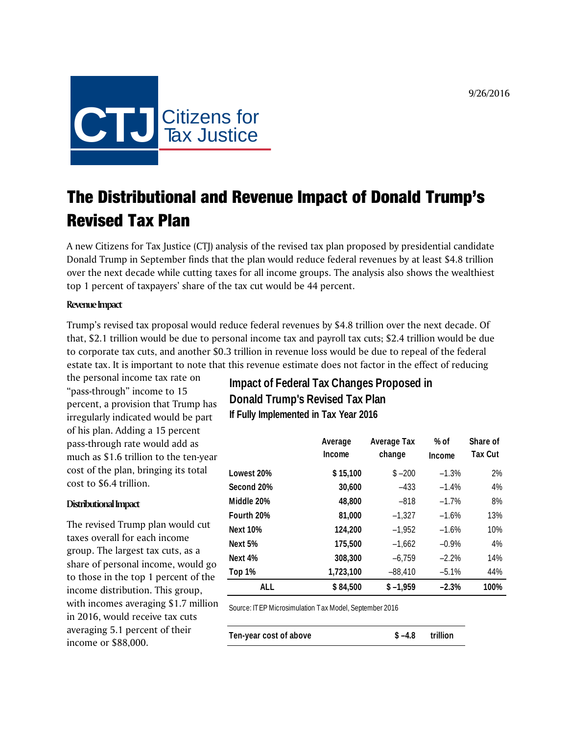9/26/2016



# The Distributional and Revenue Impact of Donald Trump's Revised Tax Plan

A new Citizens for Tax Justice (CTJ) analysis of the revised tax plan proposed by presidential candidate Donald Trump in September finds that the plan would reduce federal revenues by at least \$4.8 trillion over the next decade while cutting taxes for all income groups. The analysis also shows the wealthiest top 1 percent of taxpayers' share of the tax cut would be 44 percent.

### **Revenue Impact**

Trump's revised tax proposal would reduce federal revenues by \$4.8 trillion over the next decade. Of that, \$2.1 trillion would be due to personal income tax and payroll tax cuts; \$2.4 trillion would be due to corporate tax cuts, and another \$0.3 trillion in revenue loss would be due to repeal of the federal estate tax. It is important to note that this revenue estimate does not factor in the effect of reducing

the personal income tax rate on "pass-through" income to 15 percent, a provision that Trump has irregularly indicated would be part of his plan. Adding a 15 percent pass-through rate would add as much as \$1.6 trillion to the ten-year cost of the plan, bringing its total cost to \$6.4 trillion.

#### **Distributional Impact**

The revised Trump plan would cut taxes overall for each income group. The largest tax cuts, as a share of personal income, would go to those in the top 1 percent of the income distribution. This group, with incomes averaging \$1.7 million in 2016, would receive tax cuts averaging 5.1 percent of their income or \$88,000.

# **Impact of Federal Tax Changes Proposed in Donald Trump's Revised Tax Plan If Fully Implemented in Tax Year 2016**

|                 | Average<br>Income | Average Tax<br>change | % of<br>Income | Share of<br><b>Tax Cut</b> |
|-----------------|-------------------|-----------------------|----------------|----------------------------|
| Lowest 20%      | \$15,100          | $$ -200$              | $-1.3%$        | 2%                         |
| Second 20%      | 30,600            | $-433$                | $-1.4%$        | 4%                         |
| Middle 20%      | 48,800            | $-818$                | $-1.7%$        | 8%                         |
| Fourth 20%      | 81,000            | $-1,327$              | $-1.6%$        | 13%                        |
| <b>Next 10%</b> | 124,200           | $-1.952$              | $-1.6%$        | 10%                        |
| Next 5%         | 175,500           | $-1.662$              | $-0.9%$        | 4%                         |
| Next 4%         | 308,300           | $-6,759$              | $-2.2%$        | 14%                        |
| Top 1%          | 1,723,100         | $-88,410$             | $-5.1%$        | 44%                        |
| ALL             | \$84,500          | $$ -1.959$            | $-2.3%$        | 100%                       |

Source: ITEP Microsimulation Tax Model, September 2016

| Ten-year cost of above | $$-4.8$ trillion |  |
|------------------------|------------------|--|
|                        |                  |  |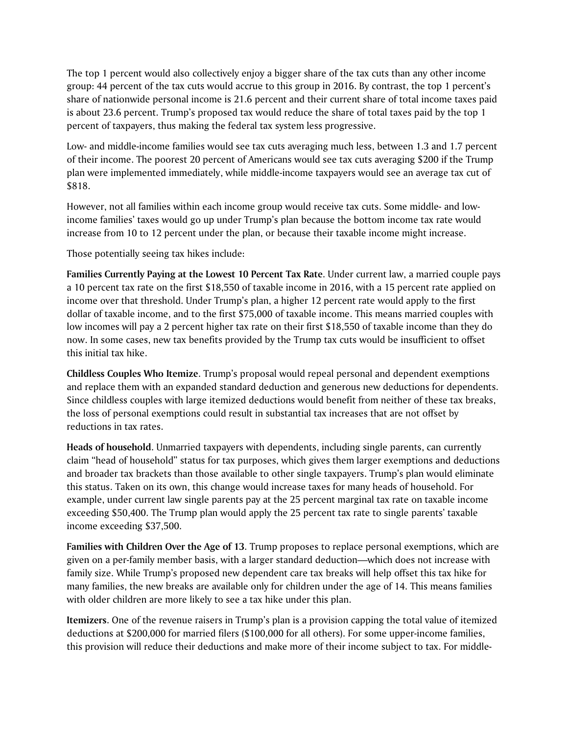The top 1 percent would also collectively enjoy a bigger share of the tax cuts than any other income group: 44 percent of the tax cuts would accrue to this group in 2016. By contrast, the top 1 percent's share of nationwide personal income is 21.6 percent and their current share of total income taxes paid is about 23.6 percent. Trump's proposed tax would reduce the share of total taxes paid by the top 1 percent of taxpayers, thus making the federal tax system less progressive.

Low- and middle-income families would see tax cuts averaging much less, between 1.3 and 1.7 percent of their income. The poorest 20 percent of Americans would see tax cuts averaging \$200 if the Trump plan were implemented immediately, while middle-income taxpayers would see an average tax cut of \$818.

However, not all families within each income group would receive tax cuts. Some middle- and lowincome families' taxes would go up under Trump's plan because the bottom income tax rate would increase from 10 to 12 percent under the plan, or because their taxable income might increase.

Those potentially seeing tax hikes include:

**Families Currently Paying at the Lowest 10 Percent Tax Rate**. Under current law, a married couple pays a 10 percent tax rate on the first \$18,550 of taxable income in 2016, with a 15 percent rate applied on income over that threshold. Under Trump's plan, a higher 12 percent rate would apply to the first dollar of taxable income, and to the first \$75,000 of taxable income. This means married couples with low incomes will pay a 2 percent higher tax rate on their first \$18,550 of taxable income than they do now. In some cases, new tax benefits provided by the Trump tax cuts would be insufficient to offset this initial tax hike.

**Childless Couples Who Itemize**. Trump's proposal would repeal personal and dependent exemptions and replace them with an expanded standard deduction and generous new deductions for dependents. Since childless couples with large itemized deductions would benefit from neither of these tax breaks, the loss of personal exemptions could result in substantial tax increases that are not offset by reductions in tax rates.

**Heads of household**. Unmarried taxpayers with dependents, including single parents, can currently claim "head of household" status for tax purposes, which gives them larger exemptions and deductions and broader tax brackets than those available to other single taxpayers. Trump's plan would eliminate this status. Taken on its own, this change would increase taxes for many heads of household. For example, under current law single parents pay at the 25 percent marginal tax rate on taxable income exceeding \$50,400. The Trump plan would apply the 25 percent tax rate to single parents' taxable income exceeding \$37,500.

**Families with Children Over the Age of 13**. Trump proposes to replace personal exemptions, which are given on a per-family member basis, with a larger standard deduction—which does not increase with family size. While Trump's proposed new dependent care tax breaks will help offset this tax hike for many families, the new breaks are available only for children under the age of 14. This means families with older children are more likely to see a tax hike under this plan.

**Itemizers**. One of the revenue raisers in Trump's plan is a provision capping the total value of itemized deductions at \$200,000 for married filers (\$100,000 for all others). For some upper-income families, this provision will reduce their deductions and make more of their income subject to tax. For middle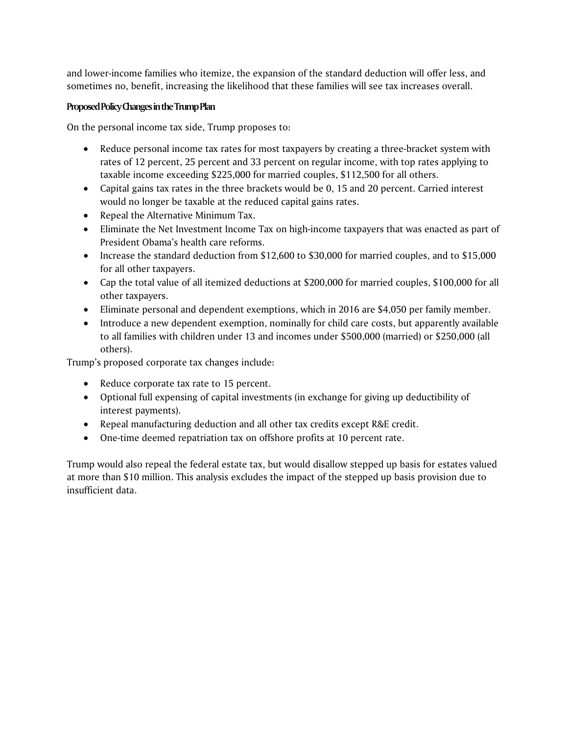and lower-income families who itemize, the expansion of the standard deduction will offer less, and sometimes no, benefit, increasing the likelihood that these families will see tax increases overall.

## **Proposed Policy Changes in the Trump Plan**

On the personal income tax side, Trump proposes to:

- Reduce personal income tax rates for most taxpayers by creating a three-bracket system with rates of 12 percent, 25 percent and 33 percent on regular income, with top rates applying to taxable income exceeding \$225,000 for married couples, \$112,500 for all others.
- Capital gains tax rates in the three brackets would be 0, 15 and 20 percent. Carried interest would no longer be taxable at the reduced capital gains rates.
- Repeal the Alternative Minimum Tax.
- Eliminate the Net Investment Income Tax on high-income taxpayers that was enacted as part of President Obama's health care reforms.
- Increase the standard deduction from \$12,600 to \$30,000 for married couples, and to \$15,000 for all other taxpayers.
- Cap the total value of all itemized deductions at \$200,000 for married couples, \$100,000 for all other taxpayers.
- Eliminate personal and dependent exemptions, which in 2016 are \$4,050 per family member.
- Introduce a new dependent exemption, nominally for child care costs, but apparently available to all families with children under 13 and incomes under \$500,000 (married) or \$250,000 (all others).

Trump's proposed corporate tax changes include:

- Reduce corporate tax rate to 15 percent.
- Optional full expensing of capital investments (in exchange for giving up deductibility of interest payments).
- Repeal manufacturing deduction and all other tax credits except R&E credit.
- One-time deemed repatriation tax on offshore profits at 10 percent rate.

Trump would also repeal the federal estate tax, but would disallow stepped up basis for estates valued at more than \$10 million. This analysis excludes the impact of the stepped up basis provision due to insufficient data.